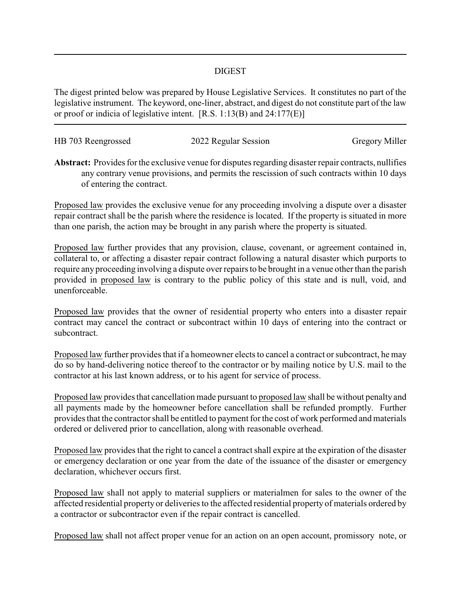## DIGEST

The digest printed below was prepared by House Legislative Services. It constitutes no part of the legislative instrument. The keyword, one-liner, abstract, and digest do not constitute part of the law or proof or indicia of legislative intent. [R.S. 1:13(B) and 24:177(E)]

| HB 703 Reengrossed | 2022 Regular Session | <b>Gregory Miller</b> |
|--------------------|----------------------|-----------------------|
|                    |                      |                       |

**Abstract:** Provides for the exclusive venue for disputes regarding disaster repair contracts, nullifies any contrary venue provisions, and permits the rescission of such contracts within 10 days of entering the contract.

Proposed law provides the exclusive venue for any proceeding involving a dispute over a disaster repair contract shall be the parish where the residence is located. If the property is situated in more than one parish, the action may be brought in any parish where the property is situated.

Proposed law further provides that any provision, clause, covenant, or agreement contained in, collateral to, or affecting a disaster repair contract following a natural disaster which purports to require any proceeding involving a dispute over repairs to be brought in a venue other than the parish provided in proposed law is contrary to the public policy of this state and is null, void, and unenforceable.

Proposed law provides that the owner of residential property who enters into a disaster repair contract may cancel the contract or subcontract within 10 days of entering into the contract or subcontract.

Proposed law further provides that if a homeowner elects to cancel a contract or subcontract, he may do so by hand-delivering notice thereof to the contractor or by mailing notice by U.S. mail to the contractor at his last known address, or to his agent for service of process.

Proposed law provides that cancellation made pursuant to proposed law shall be without penalty and all payments made by the homeowner before cancellation shall be refunded promptly. Further provides that the contractor shall be entitled to payment for the cost of work performed and materials ordered or delivered prior to cancellation, along with reasonable overhead.

Proposed law provides that the right to cancel a contract shall expire at the expiration of the disaster or emergency declaration or one year from the date of the issuance of the disaster or emergency declaration, whichever occurs first.

Proposed law shall not apply to material suppliers or materialmen for sales to the owner of the affected residential property or deliveries to the affected residential property of materials ordered by a contractor or subcontractor even if the repair contract is cancelled.

Proposed law shall not affect proper venue for an action on an open account, promissory note, or